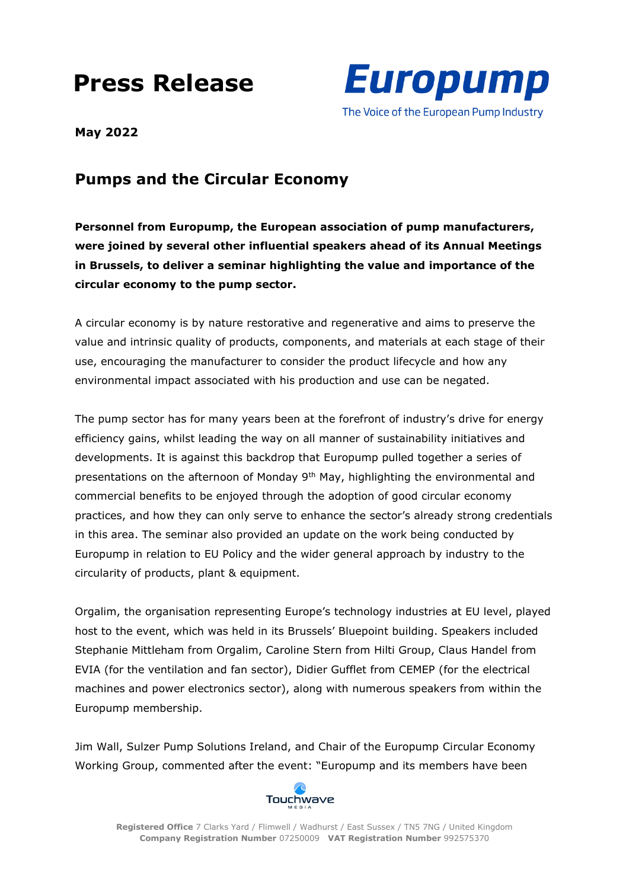## **Press Release**



**May 2022**

## **Pumps and the Circular Economy**

**Personnel from Europump, the European association of pump manufacturers, were joined by several other influential speakers ahead of its Annual Meetings in Brussels, to deliver a seminar highlighting the value and importance of the circular economy to the pump sector.**

A circular economy is by nature restorative and regenerative and aims to preserve the value and intrinsic quality of products, components, and materials at each stage of their use, encouraging the manufacturer to consider the product lifecycle and how any environmental impact associated with his production and use can be negated.

The pump sector has for many years been at the forefront of industry's drive for energy efficiency gains, whilst leading the way on all manner of sustainability initiatives and developments. It is against this backdrop that Europump pulled together a series of presentations on the afternoon of Monday 9<sup>th</sup> May, highlighting the environmental and commercial benefits to be enjoyed through the adoption of good circular economy practices, and how they can only serve to enhance the sector's already strong credentials in this area. The seminar also provided an update on the work being conducted by Europump in relation to EU Policy and the wider general approach by industry to the circularity of products, plant & equipment.

Orgalim, the organisation representing Europe's technology industries at EU level, played host to the event, which was held in its Brussels' Bluepoint building. Speakers included Stephanie Mittleham from Orgalim, Caroline Stern from Hilti Group, Claus Handel from EVIA (for the ventilation and fan sector), Didier Gufflet from CEMEP (for the electrical machines and power electronics sector), along with numerous speakers from within the Europump membership.

Jim Wall, Sulzer Pump Solutions Ireland, and Chair of the Europump Circular Economy Working Group, commented after the event: "Europump and its members have been